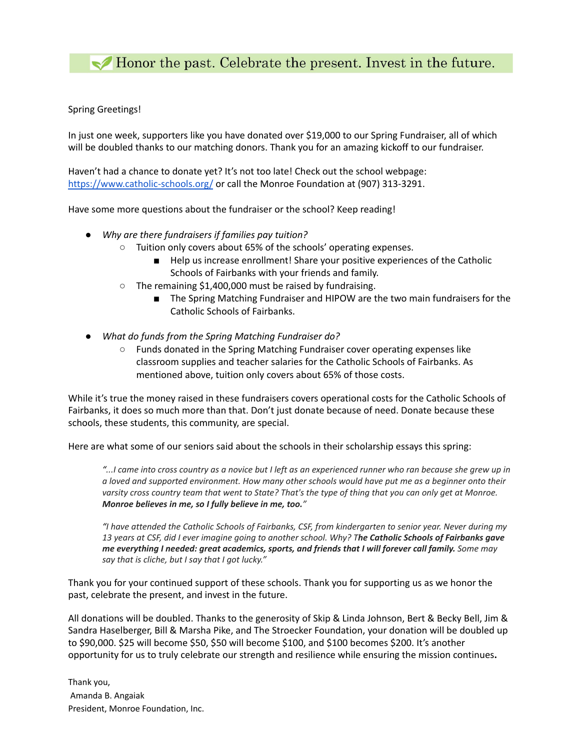Honor the past. Celebrate the present. Invest in the future.

Spring Greetings!

In just one week, supporters like you have donated over \$19,000 to our Spring Fundraiser, all of which will be doubled thanks to our matching donors. Thank you for an amazing kickoff to our fundraiser.

Haven't had a chance to donate yet? It's not too late! Check out the school webpage: <https://www.catholic-schools.org/> or call the Monroe Foundation at (907) 313-3291.

Have some more questions about the fundraiser or the school? Keep reading!

- *● Why are there fundraisers if families pay tuition?*
	- Tuition only covers about 65% of the schools' operating expenses.
		- Help us increase enrollment! Share your positive experiences of the Catholic Schools of Fairbanks with your friends and family.
	- The remaining \$1,400,000 must be raised by fundraising.
		- The Spring Matching Fundraiser and HIPOW are the two main fundraisers for the Catholic Schools of Fairbanks.
- *● What do funds from the Spring Matching Fundraiser do?*
	- Funds donated in the Spring Matching Fundraiser cover operating expenses like classroom supplies and teacher salaries for the Catholic Schools of Fairbanks. As mentioned above, tuition only covers about 65% of those costs.

While it's true the money raised in these fundraisers covers operational costs for the Catholic Schools of Fairbanks, it does so much more than that. Don't just donate because of need. Donate because these schools, these students, this community, are special.

Here are what some of our seniors said about the schools in their scholarship essays this spring:

"... I came into cross country as a novice but I left as an experienced runner who ran because she grew up in a loved and supported environment. How many other schools would have put me as a beginner onto their varsity cross country team that went to State? That's the type of thing that you can only get at Monroe. *Monroe believes in me, so I fully believe in me, too."*

"I have attended the Catholic Schools of Fairbanks, CSF, from kindergarten to senior year. Never during my 13 years at CSF, did I ever imagine going to another school. Why? The Catholic Schools of Fairbanks gave *me everything I needed: great academics, sports, and friends that I will forever call family. Some may say that is cliche, but I say that I got lucky."*

Thank you for your continued support of these schools. Thank you for supporting us as we honor the past, celebrate the present, and invest in the future.

All donations will be doubled. Thanks to the generosity of Skip & Linda Johnson, Bert & Becky Bell, Jim & Sandra Haselberger, Bill & Marsha Pike, and The Stroecker Foundation, your donation will be doubled up to \$90,000. \$25 will become \$50, \$50 will become \$100, and \$100 becomes \$200. It's another opportunity for us to truly celebrate our strength and resilience while ensuring the mission continues**.**

Thank you, Amanda B. Angaiak President, Monroe Foundation, Inc.